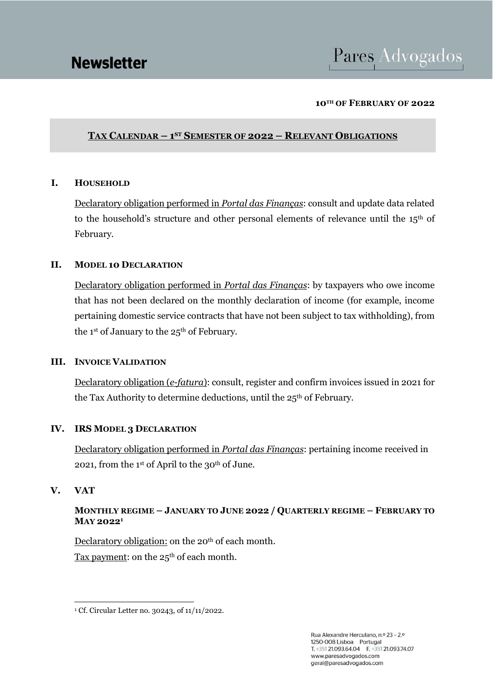# Pares Advogados

#### **10TH OF FEBRUARY OF 2022**

# **TAX CALENDAR – 1 ST SEMESTER OF 2022 – RELEVANT OBLIGATIONS**

#### **I. HOUSEHOLD**

Declaratory obligation performed in *Portal das Finanças*: consult and update data related to the household's structure and other personal elements of relevance until the 15<sup>th</sup> of February.

#### **II. MODEL 10 DECLARATION**

Declaratory obligation performed in *Portal das Finanças*: by taxpayers who owe income that has not been declared on the monthly declaration of income (for example, income pertaining domestic service contracts that have not been subject to tax withholding), from the 1<sup>st</sup> of January to the  $25<sup>th</sup>$  of February.

#### **III. INVOICE VALIDATION**

Declaratory obligation (*e-fatura*): consult, register and confirm invoices issued in 2021 for the Tax Authority to determine deductions, until the 25<sup>th</sup> of February.

#### **IV. IRS MODEL 3 DECLARATION**

Declaratory obligation performed in *Portal das Finanças*: pertaining income received in 2021, from the 1st of April to the 30<sup>th</sup> of June.

#### **V. VAT**

# **MONTHLY REGIME – JANUARY TO JUNE 2022 / QUARTERLY REGIME – FEBRUARY TO MAY 2022<sup>1</sup>**

Declaratory obligation: on the 20<sup>th</sup> of each month. Tax payment: on the  $25<sup>th</sup>$  of each month.

<sup>1</sup> Cf. Circular Letter no. 30243, of 11/11/2022.